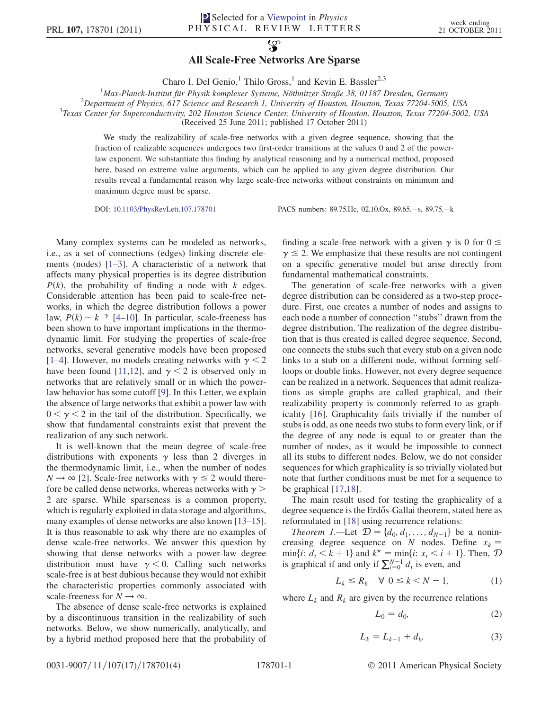## $\mathcal{L}$

## All Scale-Free Networks Are Sparse

Charo I. Del Genio,<sup>1</sup> Thilo Gross,<sup>1</sup> and Kevin E. Bassler<sup>2,3</sup>

<sup>1</sup>Max-Planck-Institut für Physik komplexer Systeme, Nöthnitzer Straße 38, 01187 Dresden, Germany<br><sup>2</sup>Department of Physics, 617 Science and Research J. University of Houston, Houston, Taxes 77204, 5005

<sup>2</sup>Department of Physics, 617 Science and Research 1, University of Houston, Houston, Texas 77204-5005, USA

<sup>3</sup>Texas Center for Superconductivity, 202 Houston Science Center, University of Houston, Houston, Texas 77204-5002, USA

(Received 25 June 2011; published 17 October 2011)

We study the realizability of scale-free networks with a given degree sequence, showing that the fraction of realizable sequences undergoes two first-order transitions at the values 0 and 2 of the powerlaw exponent. We substantiate this finding by analytical reasoning and by a numerical method, proposed here, based on extreme value arguments, which can be applied to any given degree distribution. Our results reveal a fundamental reason why large scale-free networks without constraints on minimum and maximum degree must be sparse.

DOI: [10.1103/PhysRevLett.107.178701](http://dx.doi.org/10.1103/PhysRevLett.107.178701) PACS numbers: 89.75.Hc, 02.10.Ox, 89.65. - s, 89.75. - k

Many complex systems can be modeled as networks, i.e., as a set of connections (edges) linking discrete elements (nodes) [[1](#page-3-0)[–3\]](#page-3-1). A characteristic of a network that affects many physical properties is its degree distribution  $P(k)$ , the probability of finding a node with k edges. Considerable attention has been paid to scale-free networks, in which the degree distribution follows a power law,  $P(k) \sim k^{-\gamma}$  [\[4–](#page-3-2)[10](#page-3-3)]. In particular, scale-freeness has<br>been shown to have important implications in the thermobeen shown to have important implications in the thermodynamic limit. For studying the properties of scale-free networks, several generative models have been proposed [\[1–](#page-3-0)[4](#page-3-2)]. However, no models creating networks with  $\gamma < 2$ have been found [\[11](#page-3-4)[,12\]](#page-3-5), and  $\gamma$  < 2 is observed only in networks that are relatively small or in which the powerlaw behavior has some cutoff [[9\]](#page-3-6). In this Letter, we explain the absence of large networks that exhibit a power law with  $0 < \gamma < 2$  in the tail of the distribution. Specifically, we show that fundamental constraints exist that prevent the realization of any such network.

It is well-known that the mean degree of scale-free distributions with exponents  $\gamma$  less than 2 diverges in the thermodynamic limit, i.e., when the number of nodes  $N \rightarrow \infty$  [[2](#page-3-7)]. Scale-free networks with  $\gamma \leq 2$  would therefore be called dense networks, whereas networks with  $\gamma$ 2 are sparse. While sparseness is a common property, which is regularly exploited in data storage and algorithms, many examples of dense networks are also known [[13](#page-3-8)–[15\]](#page-3-9). It is thus reasonable to ask why there are no examples of dense scale-free networks. We answer this question by showing that dense networks with a power-law degree distribution must have  $\gamma$  < 0. Calling such networks scale-free is at best dubious because they would not exhibit the characteristic properties commonly associated with scale-freeness for  $N \rightarrow \infty$ .

The absence of dense scale-free networks is explained by a discontinuous transition in the realizability of such networks. Below, we show numerically, analytically, and by a hybrid method proposed here that the probability of finding a scale-free network with a given  $\gamma$  is 0 for  $0 \le$  $\gamma \leq 2$ . We emphasize that these results are not contingent on a specific generative model but arise directly from fundamental mathematical constraints.

The generation of scale-free networks with a given degree distribution can be considered as a two-step procedure. First, one creates a number of nodes and assigns to each node a number of connection ''stubs'' drawn from the degree distribution. The realization of the degree distribution that is thus created is called degree sequence. Second, one connects the stubs such that every stub on a given node links to a stub on a different node, without forming selfloops or double links. However, not every degree sequence can be realized in a network. Sequences that admit realizations as simple graphs are called graphical, and their realizability property is commonly referred to as graphicality [\[16\]](#page-3-10). Graphicality fails trivially if the number of stubs is odd, as one needs two stubs to form every link, or if the degree of any node is equal to or greater than the number of nodes, as it would be impossible to connect all its stubs to different nodes. Below, we do not consider sequences for which graphicality is so trivially violated but note that further conditions must be met for a sequence to be graphical [\[17](#page-3-11)[,18\]](#page-3-12).

The main result used for testing the graphicality of a degree sequence is the Erdős-Gallai theorem, stated here as reformulated in [[18](#page-3-12)] using recurrence relations:

*Theorem 1.*—Let  $D = \{d_0, d_1, ..., d_{N-1}\}\)$  be a nonincreasing degree sequence on N nodes. Define  $x_k$  =  $min\{i: d_i < k + 1\}$  and  $k^* = min\{i: x_i < i + 1\}$ . Then,  $\mathcal{D}$ is graphical if and only if  $\sum_{i=0}^{N-1} d_i$  is even, and

$$
L_k \le R_k \quad \forall \ 0 \le k < N - 1,\tag{1}
$$

where  $L_k$  and  $R_k$  are given by the recurrence relations

$$
L_0 = d_0,\t\t(2)
$$

$$
L_k = L_{k-1} + d_k,
$$
 (3)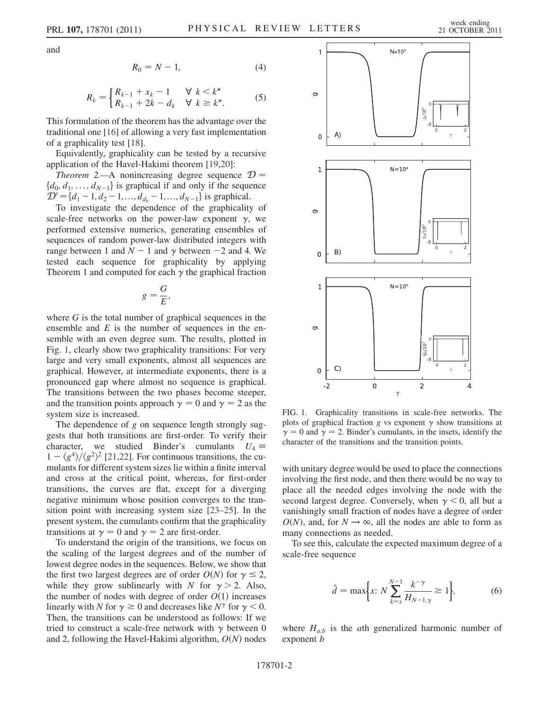<span id="page-1-2"></span>and

$$
R_0 = N - 1,\t\t(4)
$$

$$
R_k = \begin{cases} R_{k-1} + x_k - 1 & \forall \ k < k^\star \\ R_{k-1} + 2k - d_k & \forall \ k \ge k^\star. \end{cases} \tag{5}
$$

This formulation of the theorem has the advantage over the traditional one [[16](#page-3-10)] of allowing a very fast implementation of a graphicality test [[18](#page-3-12)].

Equivalently, graphicality can be tested by a recursive application of the Havel-Hakimi theorem [\[19](#page-3-13)[,20\]](#page-3-14):

*Theorem* 2.—A nonincreasing degree sequence  $\mathcal{D} =$  $\{d_0, d_1, \ldots, d_{N-1}\}\$  is graphical if and only if the sequence  $\mathcal{D}' = \{d_1 - 1, d_2 - 1, ..., d_{d_0} - 1, ..., d_{N-1}\}\$ is graphical.

To investigate the dependence of the graphicality of scale-free networks on the power-law exponent  $\gamma$ , we performed extensive numerics, generating ensembles of sequences of random power-law distributed integers with range between 1 and  $N - 1$  and  $\gamma$  between  $-2$  and 4. We tested each sequence for graphicality by applying Theorem 1 and computed for each  $\gamma$  the graphical fraction

$$
g=\frac{G}{E},
$$

where  $G$  is the total number of graphical sequences in the ensemble and  $E$  is the number of sequences in the ensemble with an even degree sum. The results, plotted in Fig. [1,](#page-1-0) clearly show two graphicality transitions: For very large and very small exponents, almost all sequences are graphical. However, at intermediate exponents, there is a pronounced gap where almost no sequence is graphical. The transitions between the two phases become steeper, and the transition points approach  $\gamma = 0$  and  $\gamma = 2$  as the system size is increased.

The dependence of g on sequence length strongly suggests that both transitions are first-order. To verify their character, we studied Binder's cumulants  $U_4 \equiv$  $1 - \langle g^4 \rangle / \langle g^2 \rangle^2$  [\[21,](#page-3-15)[22\]](#page-3-16). For continuous transitions, the cu-<br>mulants for different system sizes lie within a finite interval mulants for different system sizes lie within a finite interval and cross at the critical point, whereas, for first-order transitions, the curves are flat, except for a diverging negative minimum whose position converges to the transition point with increasing system size [\[23–](#page-3-17)[25](#page-3-18)]. In the present system, the cumulants confirm that the graphicality transitions at  $\gamma = 0$  and  $\gamma = 2$  are first-order.

To understand the origin of the transitions, we focus on the scaling of the largest degrees and of the number of lowest degree nodes in the sequences. Below, we show that the first two largest degrees are of order  $O(N)$  for  $\gamma \leq 2$ , while they grow sublinearly with N for  $\gamma > 2$ . Also, the number of nodes with degree of order  $O(1)$  increases linearly with N for  $\gamma \ge 0$  and decreases like  $N^{\gamma}$  for  $\gamma < 0$ . Then, the transitions can be understood as follows: If we tried to construct a scale-free network with  $\gamma$  between 0 and 2, following the Havel-Hakimi algorithm,  $O(N)$  nodes

<span id="page-1-0"></span>

FIG. 1. Graphicality transitions in scale-free networks. The plots of graphical fraction g vs exponent  $\gamma$  show transitions at  $\gamma = 0$  and  $\gamma = 2$ . Binder's cumulants, in the insets, identify the character of the transitions and the transition points.

with unitary degree would be used to place the connections involving the first node, and then there would be no way to place all the needed edges involving the node with the second largest degree. Conversely, when  $\gamma$  < 0, all but a vanishingly small fraction of nodes have a degree of order  $O(N)$ , and, for  $N \rightarrow \infty$ , all the nodes are able to form as many connections as needed.

<span id="page-1-1"></span>To see this, calculate the expected maximum degree of a scale-free sequence

$$
\hat{d} = \max\biggl\{ x: N \sum_{k=x}^{N-1} \frac{k^{-\gamma}}{H_{N-1,\gamma}} \ge 1 \biggr\},\tag{6}
$$

where  $H_{a,b}$  is the *a*th generalized harmonic number of exponent *b*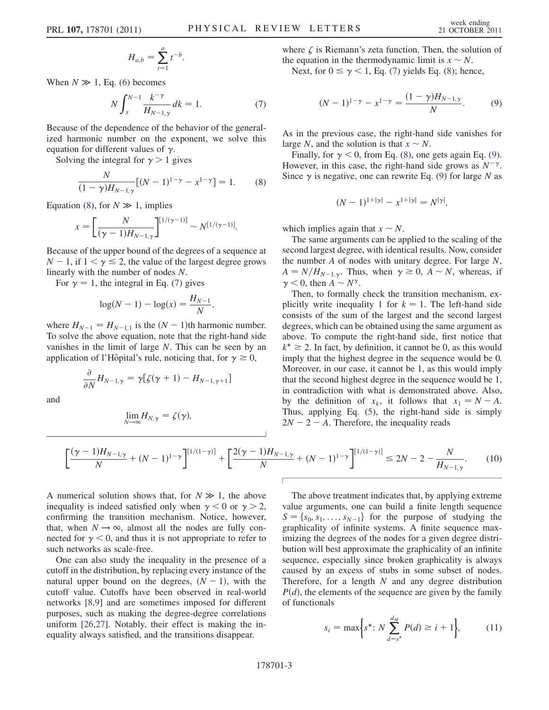$$
H_{a,b} = \sum_{t=1}^{a} t^{-b}.
$$

<span id="page-2-1"></span>When  $N \gg 1$ , Eq. [\(6\)](#page-1-1) becomes

$$
N \int_{x}^{N-1} \frac{k^{-\gamma}}{H_{N-1,\gamma}} dk = 1.
$$
 (7)

Because of the dependence of the behavior of the generalized harmonic number on the exponent, we solve this equation for different values of  $\gamma$ .

<span id="page-2-0"></span>Solving the integral for  $\gamma > 1$  gives

$$
\frac{N}{(1-\gamma)H_{N-1,\gamma}}[(N-1)^{1-\gamma} - x^{1-\gamma}] = 1.
$$
 (8)

Equation [\(8\)](#page-2-0), for  $N \gg 1$ , implies

$$
x = \left[\frac{N}{(\gamma - 1)H_{N-1,\gamma}}\right]^{[1/(\gamma - 1)]} \sim N^{[1/(\gamma - 1)]}.
$$

Because of the upper bound of the degrees of a sequence at  $N - 1$ , if  $1 < \gamma \leq 2$ , the value of the largest degree grows linearly with the number of nodes N.

For  $\gamma = 1$ , the integral in Eq. ([7](#page-2-1)) gives

$$
\log(N-1) - \log(x) = \frac{H_{N-1}}{N},
$$

where  $H_{N-1} = H_{N-1,1}$  is the  $(N - 1)$ th harmonic number. To solve the above equation, note that the right-hand side vanishes in the limit of large N. This can be seen by an application of l'Hôpital's rule, noticing that, for  $\gamma \ge 0$ ,

$$
\frac{\partial}{\partial N}H_{N-1,\gamma}=\gamma[\zeta(\gamma+1)-H_{N-1,\gamma+1}]
$$

and

$$
\lim_{N\to\infty}H_{N,\gamma}=\zeta(\gamma),
$$

where  $\zeta$  is Riemann's zeta function. Then, the solution of the equation in the thermodynamic limit is  $x \sim N$ .<br>Next, for  $0 \le x \le 1$ . Eq. (7) yields Eq. (8); hen

<span id="page-2-2"></span>Next, for  $0 \le \gamma < 1$ , Eq. ([7](#page-2-1)) yields Eq. ([8\)](#page-2-0); hence,

$$
(N-1)^{1-\gamma} - x^{1-\gamma} = \frac{(1-\gamma)H_{N-1,\gamma}}{N}.
$$
 (9)

As in the previous case, the right-hand side vanishes for large N, and the solution is that  $x \sim N$ .<br>Finally for  $\gamma < 0$  from Eq. (8) one

Finally, for  $\gamma$  < 0, from Eq. [\(8](#page-2-0)), one gets again Eq. ([9\)](#page-2-2). However, in this case, the right-hand side grows as  $N^{-\gamma}$ . Since  $\gamma$  is negative, one can rewrite Eq. ([9](#page-2-2)) for large N as

$$
(N-1)^{1+|\gamma|} - x^{1+|\gamma|} = N^{|\gamma|},
$$

which implies again that  $x \sim N$ .<br>The same arouments can be an

The same arguments can be applied to the scaling of the second largest degree, with identical results. Now, consider the number  $A$  of nodes with unitary degree. For large  $N$ ,  $A = N/H_{N-1,y}$ . Thus, when  $\gamma \ge 0$ ,  $A \sim N$ , whereas, if  $\gamma \le 0$  then  $A \sim N$ .  $\gamma$  < 0, then  $A \sim N^{\gamma}$ .<br>Then to formally

Then, to formally check the transition mechanism, explicitly write inequality 1 for  $k = 1$ . The left-hand side consists of the sum of the largest and the second largest degrees, which can be obtained using the same argument as above. To compute the right-hand side, first notice that  $k^* \geq 2$ . In fact, by definition, it cannot be 0, as this would imply that the highest degree in the sequence would be 0. Moreover, in our case, it cannot be 1, as this would imply that the second highest degree in the sequence would be 1, in contradiction with what is demonstrated above. Also, by the definition of  $x_k$ , it follows that  $x_1 = N - A$ . Thus, applying Eq. ([5\)](#page-1-2), the right-hand side is simply  $2N - 2 - A$ . Therefore, the inequality reads

$$
\left[\frac{(\gamma - 1)H_{N-1,\gamma}}{N} + (N-1)^{1-\gamma}\right]^{[1/(1-\gamma)]} + \left[\frac{2(\gamma - 1)H_{N-1,\gamma}}{N} + (N-1)^{1-\gamma}\right]^{[1/(1-\gamma)]} \le 2N - 2 - \frac{N}{H_{N-1,\gamma}}.\tag{10}
$$

A numerical solution shows that, for  $N \gg 1$ , the above inequality is indeed satisfied only when  $\gamma < 0$  or  $\gamma > 2$ , confirming the transition mechanism. Notice, however, that, when  $N \rightarrow \infty$ , almost all the nodes are fully connected for  $\gamma < 0$ , and thus it is not appropriate to refer to such networks as scale-free.

One can also study the inequality in the presence of a cutoff in the distribution, by replacing every instance of the natural upper bound on the degrees,  $(N - 1)$ , with the cutoff value. Cutoffs have been observed in real-world networks [\[8](#page-3-19),[9](#page-3-6)] and are sometimes imposed for different purposes, such as making the degree-degree correlations uniform [[26](#page-3-20),[27](#page-3-21)]. Notably, their effect is making the inequality always satisfied, and the transitions disappear.

The above treatment indicates that, by applying extreme value arguments, one can build a finite length sequence  $S = \{s_0, s_1, \ldots, s_{N-1}\}\$  for the purpose of studying the graphicality of infinite systems. A finite sequence maximizing the degrees of the nodes for a given degree distribution will best approximate the graphicality of an infinite sequence, especially since broken graphicality is always caused by an excess of stubs in some subset of nodes. Therefore, for a length  $N$  and any degree distribution  $P(d)$ , the elements of the sequence are given by the family of functionals

<span id="page-2-3"></span>
$$
s_i = \max\bigg\{ s^* \colon N \sum_{d=s^*}^{d_M} P(d) \ge i+1 \bigg\},\tag{11}
$$